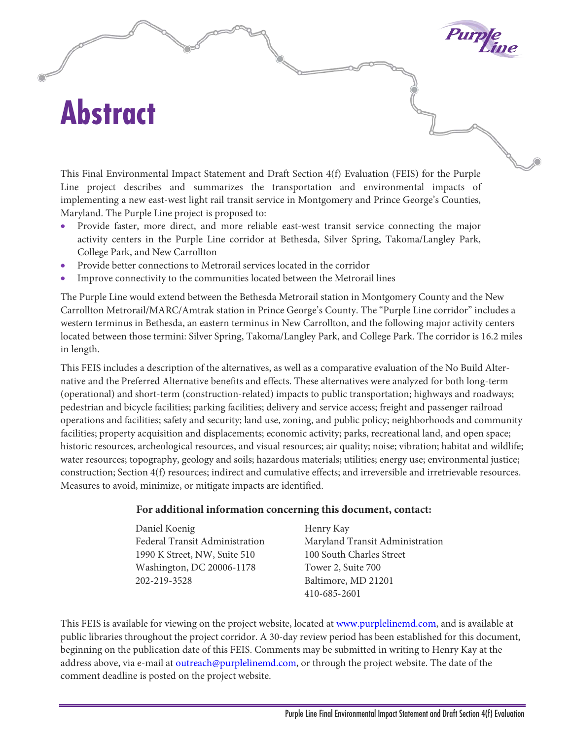## **Abstract**

This Final Environmental Impact Statement and Draft Section 4(f) Evaluation (FEIS) for the Purple Line project describes and summarizes the transportation and environmental impacts of implementing a new east-west light rail transit service in Montgomery and Prince George's Counties, Maryland. The Purple Line project is proposed to:

- Provide faster, more direct, and more reliable east-west transit service connecting the major activity centers in the Purple Line corridor at Bethesda, Silver Spring, Takoma/Langley Park, College Park, and New Carrollton
- Provide better connections to Metrorail services located in the corridor
- Improve connectivity to the communities located between the Metrorail lines

The Purple Line would extend between the Bethesda Metrorail station in Montgomery County and the New Carrollton Metrorail/MARC/Amtrak station in Prince George's County. The "Purple Line corridor" includes a western terminus in Bethesda, an eastern terminus in New Carrollton, and the following major activity centers located between those termini: Silver Spring, Takoma/Langley Park, and College Park. The corridor is 16.2 miles in length.

This FEIS includes a description of the alternatives, as well as a comparative evaluation of the No Build Alternative and the Preferred Alternative benefits and effects. These alternatives were analyzed for both long-term (operational) and short-term (construction-related) impacts to public transportation; highways and roadways; pedestrian and bicycle facilities; parking facilities; delivery and service access; freight and passenger railroad operations and facilities; safety and security; land use, zoning, and public policy; neighborhoods and community facilities; property acquisition and displacements; economic activity; parks, recreational land, and open space; historic resources, archeological resources, and visual resources; air quality; noise; vibration; habitat and wildlife; water resources; topography, geology and soils; hazardous materials; utilities; energy use; environmental justice; construction; Section 4(f) resources; indirect and cumulative effects; and irreversible and irretrievable resources. Measures to avoid, minimize, or mitigate impacts are identified.

## **For additional information concerning this document, contact:**

| Daniel Koenig                  | Henry Kay                       |
|--------------------------------|---------------------------------|
| Federal Transit Administration | Maryland Transit Administration |
| 1990 K Street, NW, Suite 510   | 100 South Charles Street        |
| Washington, DC 20006-1178      | Tower 2, Suite 700              |
| 202-219-3528                   | Baltimore, MD 21201             |
|                                | 410-685-2601                    |

This FEIS is available for viewing on the project website, located at [www.purplelinemd.com,](http://www.purplelinemd.com/) and is available at public libraries throughout the project corridor. A 30-day review period has been established for this document, beginning on the publication date of this FEIS. Comments may be submitted in writing to Henry Kay at the address above, via e-mail at [outreach@purplelinemd.com,](mailto:outreach@purplelinemd.com) or through the project website. The date of the comment deadline is posted on the project website.